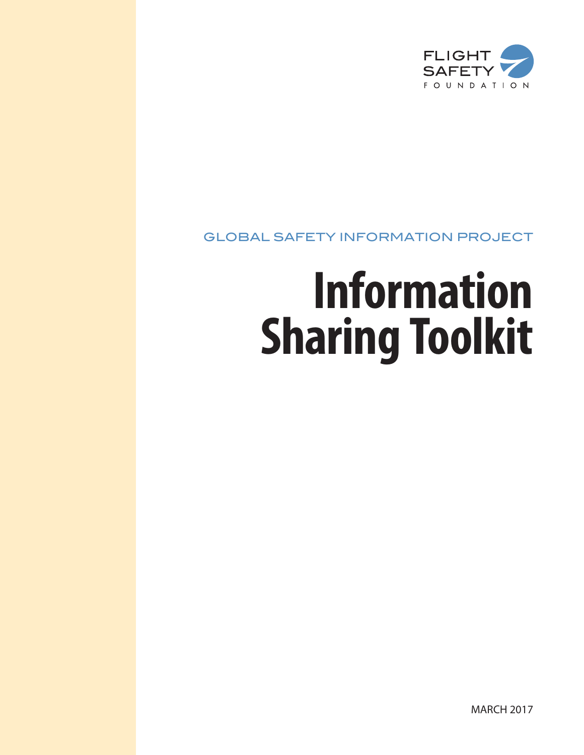

# GLOBAL SAFETY INFORMATION PROJECT

# **Information Sharing Toolkit**

MARCH 2017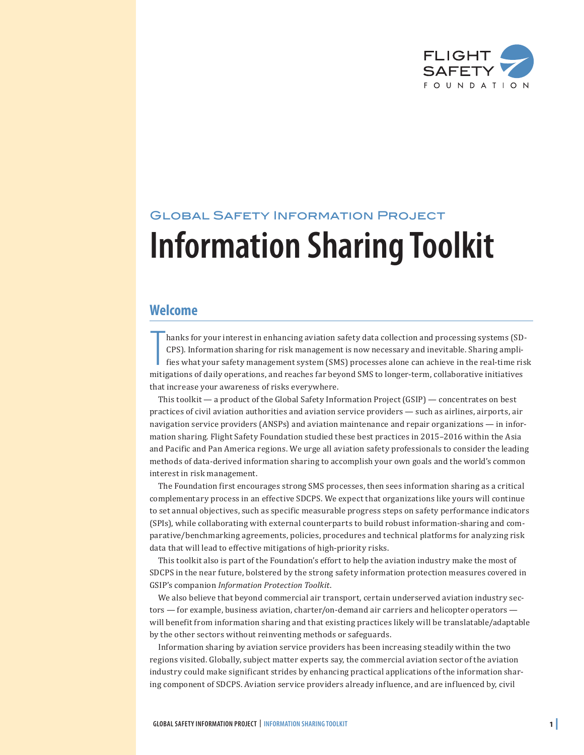

# Global Safety Information Project **Information Sharing Toolkit**

### **Welcome**

hanks for your interest in enhancing aviation safety data collection and processing systems (SDCPS). Information sharing for risk management is now necessary and inevitable. Sharing amplifies what your safety management sy hanks for your interest in enhancing aviation safety data collection and processing systems (SD-CPS). Information sharing for risk management is now necessary and inevitable. Sharing amplifies what your safety management system (SMS) processes alone can achieve in the real-time risk that increase your awareness of risks everywhere.

This toolkit — a product of the Global Safety Information Project (GSIP) — concentrates on best practices of civil aviation authorities and aviation service providers — such as airlines, airports, air navigation service providers (ANSPs) and aviation maintenance and repair organizations — in information sharing. Flight Safety Foundation studied these best practices in 2015–2016 within the Asia and Pacific and Pan America regions. We urge all aviation safety professionals to consider the leading methods of data-derived information sharing to accomplish your own goals and the world's common interest in risk management.

The Foundation first encourages strong SMS processes, then sees information sharing as a critical complementary process in an effective SDCPS. We expect that organizations like yours will continue to set annual objectives, such as specific measurable progress steps on safety performance indicators (SPIs), while collaborating with external counterparts to build robust information-sharing and comparative/benchmarking agreements, policies, procedures and technical platforms for analyzing risk data that will lead to effective mitigations of high-priority risks.

This toolkit also is part of the Foundation's effort to help the aviation industry make the most of SDCPS in the near future, bolstered by the strong safety information protection measures covered in GSIP's companion *Information Protection Toolkit*.

We also believe that beyond commercial air transport, certain underserved aviation industry sectors — for example, business aviation, charter/on-demand air carriers and helicopter operators will benefit from information sharing and that existing practices likely will be translatable/adaptable by the other sectors without reinventing methods or safeguards.

Information sharing by aviation service providers has been increasing steadily within the two regions visited. Globally, subject matter experts say, the commercial aviation sector of the aviation industry could make significant strides by enhancing practical applications of the information sharing component of SDCPS. Aviation service providers already influence, and are influenced by, civil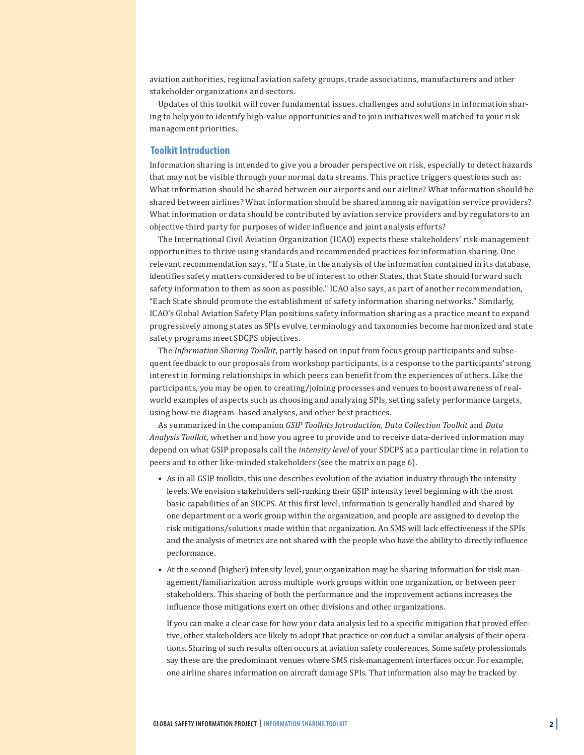aviation authorities, regional aviation safety groups, trade associations, manufacturers and other stakeholder organizations and sectors.

Updates of this toolkit will cover fundamental issues, challenges and solutions in information sharing to help you to identify high-value opportunities and to join initiatives well matched to your risk management priorities.

#### **Toolkit Introduction**

Information sharing is intended to give you a broader perspective on risk, especially to detect hazards that may not be visible through your normal data streams. This practice triggers questions such as: What information should be shared between our airports and our airline? What information should be shared between airlines? What information should be shared among air navigation service providers? What information or data should be contributed by aviation service providers and by regulators to an objective third party for purposes of wider influence and joint analysis efforts?

The International Civil Aviation Organization (ICAO) expects these stakeholders' risk-management opportunities to thrive using standards and recommended practices for information sharing. One relevant recommendation says, "If a State, in the analysis of the information contained in its database, identifies safety matters considered to be of interest to other States, that State should forward such safety information to them as soon as possible." ICAO also says, as part of another recommendation, "Each State should promote the establishment of safety information sharing networks." Similarly, ICAO's Global Aviation Safety Plan positions safety information sharing as a practice meant to expand progressively among states as SPIs evolve, terminology and taxonomies become harmonized and state safety programs meet SDCPS objectives.

The *Information Sharing Toolkit*, partly based on input from focus group participants and subsequent feedback to our proposals from workshop participants, is a response to the participants' strong interest in forming relationships in which peers can benefit from the experiences of others. Like the participants, you may be open to creating/joining processes and venues to boost awareness of realworld examples of aspects such as choosing and analyzing SPIs, setting safety performance targets, using bow-tie diagram–based analyses, and other best practices.

As summarized in the companion *GSIP Toolkits Introduction, Data Collection Toolkit* and *Data Analysis Toolkit,* whether and how you agree to provide and to receive data-derived information may depend on what GSIP proposals call the *intensity level* of your SDCPS at a particular time in relation to peers and to other like-minded stakeholders (see the matrix on page 6).

- As in all GSIP toolkits, this one describes evolution of the aviation industry through the intensity levels. We envision stakeholders self-ranking their GSIP intensity level beginning with the most basic capabilities of an SDCPS. At this first level, information is generally handled and shared by one department or a work group within the organization, and people are assigned to develop the risk mitigations/solutions made within that organization. An SMS will lack effectiveness if the SPIs and the analysis of metrics are not shared with the people who have the ability to directly influence performance.
- At the second (higher) intensity level, your organization may be sharing information for risk management/familiarization across multiple work groups within one organization, or between peer stakeholders. This sharing of both the performance and the improvement actions increases the influence those mitigations exert on other divisions and other organizations.

If you can make a clear case for how your data analysis led to a specific mitigation that proved effective, other stakeholders are likely to adopt that practice or conduct a similar analysis of their operations. Sharing of such results often occurs at aviation safety conferences. Some safety professionals say these are the predominant venues where SMS risk-management interfaces occur. For example, one airline shares information on aircraft damage SPIs. That information also may be tracked by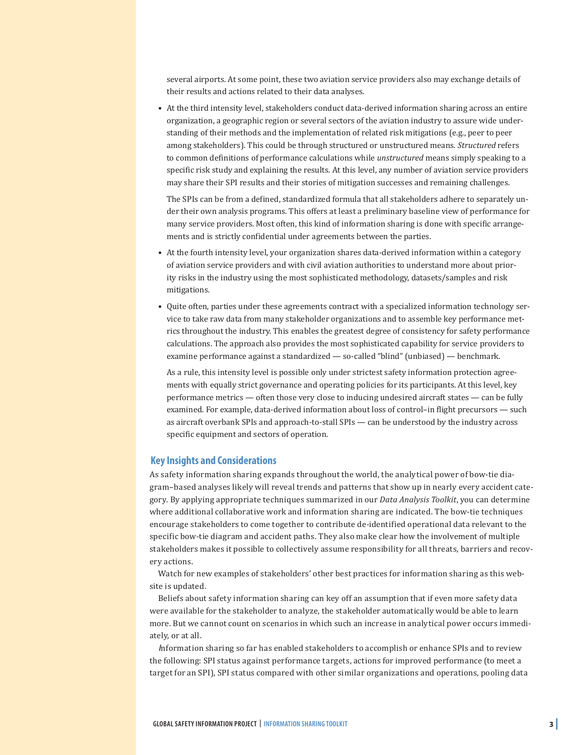several airports. At some point, these two aviation service providers also may exchange details of their results and actions related to their data analyses.

• At the third intensity level, stakeholders conduct data-derived information sharing across an entire organization, a geographic region or several sectors of the aviation industry to assure wide understanding of their methods and the implementation of related risk mitigations (e.g., peer to peer among stakeholders). This could be through structured or unstructured means. *Structured* refers to common definitions of performance calculations while *unstructured* means simply speaking to a specific risk study and explaining the results. At this level, any number of aviation service providers may share their SPI results and their stories of mitigation successes and remaining challenges.

The SPIs can be from a defined, standardized formula that all stakeholders adhere to separately under their own analysis programs. This offers at least a preliminary baseline view of performance for many service providers. Most often, this kind of information sharing is done with specific arrangements and is strictly confidential under agreements between the parties.

- At the fourth intensity level, your organization shares data-derived information within a category of aviation service providers and with civil aviation authorities to understand more about priority risks in the industry using the most sophisticated methodology, datasets/samples and risk mitigations.
- Quite often, parties under these agreements contract with a specialized information technology service to take raw data from many stakeholder organizations and to assemble key performance metrics throughout the industry. This enables the greatest degree of consistency for safety performance calculations. The approach also provides the most sophisticated capability for service providers to examine performance against a standardized — so-called "blind" (unbiased) — benchmark.

As a rule, this intensity level is possible only under strictest safety information protection agreements with equally strict governance and operating policies for its participants. At this level, key performance metrics — often those very close to inducing undesired aircraft states — can be fully examined. For example, data-derived information about loss of control–in flight precursors — such as aircraft overbank SPIs and approach-to-stall SPIs — can be understood by the industry across specific equipment and sectors of operation.

#### **Key Insights and Considerations**

As safety information sharing expands throughout the world, the analytical power of bow-tie diagram–based analyses likely will reveal trends and patterns that show up in nearly every accident category. By applying appropriate techniques summarized in our *Data Analysis Toolkit*, you can determine where additional collaborative work and information sharing are indicated. The bow-tie techniques encourage stakeholders to come together to contribute de-identified operational data relevant to the specific bow-tie diagram and accident paths. They also make clear how the involvement of multiple stakeholders makes it possible to collectively assume responsibility for all threats, barriers and recovery actions.

Watch for new examples of stakeholders' other best practices for information sharing as this website is updated.

Beliefs about safety information sharing can key off an assumption that if even more safety data were available for the stakeholder to analyze, the stakeholder automatically would be able to learn more. But we cannot count on scenarios in which such an increase in analytical power occurs immediately, or at all.

*I*nformation sharing so far has enabled stakeholders to accomplish or enhance SPIs and to review the following: SPI status against performance targets, actions for improved performance (to meet a target for an SPI), SPI status compared with other similar organizations and operations, pooling data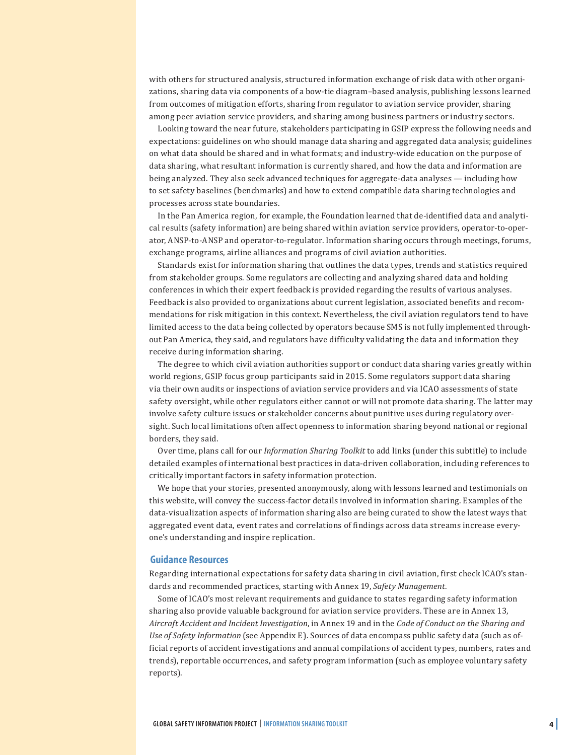with others for structured analysis, structured information exchange of risk data with other organizations, sharing data via components of a bow-tie diagram–based analysis, publishing lessons learned from outcomes of mitigation efforts, sharing from regulator to aviation service provider, sharing among peer aviation service providers, and sharing among business partners or industry sectors.

Looking toward the near future, stakeholders participating in GSIP express the following needs and expectations: guidelines on who should manage data sharing and aggregated data analysis; guidelines on what data should be shared and in what formats; and industry-wide education on the purpose of data sharing, what resultant information is currently shared, and how the data and information are being analyzed. They also seek advanced techniques for aggregate-data analyses — including how to set safety baselines (benchmarks) and how to extend compatible data sharing technologies and processes across state boundaries.

In the Pan America region, for example, the Foundation learned that de-identified data and analytical results (safety information) are being shared within aviation service providers, operator-to-operator, ANSP-to-ANSP and operator-to-regulator. Information sharing occurs through meetings, forums, exchange programs, airline alliances and programs of civil aviation authorities.

Standards exist for information sharing that outlines the data types, trends and statistics required from stakeholder groups. Some regulators are collecting and analyzing shared data and holding conferences in which their expert feedback is provided regarding the results of various analyses. Feedback is also provided to organizations about current legislation, associated benefits and recommendations for risk mitigation in this context. Nevertheless, the civil aviation regulators tend to have limited access to the data being collected by operators because SMS is not fully implemented throughout Pan America, they said, and regulators have difficulty validating the data and information they receive during information sharing.

The degree to which civil aviation authorities support or conduct data sharing varies greatly within world regions, GSIP focus group participants said in 2015. Some regulators support data sharing via their own audits or inspections of aviation service providers and via ICAO assessments of state safety oversight, while other regulators either cannot or will not promote data sharing. The latter may involve safety culture issues or stakeholder concerns about punitive uses during regulatory oversight. Such local limitations often affect openness to information sharing beyond national or regional borders, they said.

Over time, plans call for our *Information Sharing Toolkit* to add links (under this subtitle) to include detailed examples of international best practices in data-driven collaboration, including references to critically important factors in safety information protection.

We hope that your stories, presented anonymously, along with lessons learned and testimonials on this website, will convey the success-factor details involved in information sharing. Examples of the data-visualization aspects of information sharing also are being curated to show the latest ways that aggregated event data, event rates and correlations of findings across data streams increase everyone's understanding and inspire replication.

#### **Guidance Resources**

Regarding international expectations for safety data sharing in civil aviation, first check ICAO's standards and recommended practices, starting with Annex 19, *Safety Management.*

Some of ICAO's most relevant requirements and guidance to states regarding safety information sharing also provide valuable background for aviation service providers. These are in Annex 13, *Aircraft Accident and Incident Investigation*, in Annex 19 and in the *Code of Conduct on the Sharing and Use of Safety Information* (see Appendix E). Sources of data encompass public safety data (such as official reports of accident investigations and annual compilations of accident types, numbers, rates and trends), reportable occurrences, and safety program information (such as employee voluntary safety reports).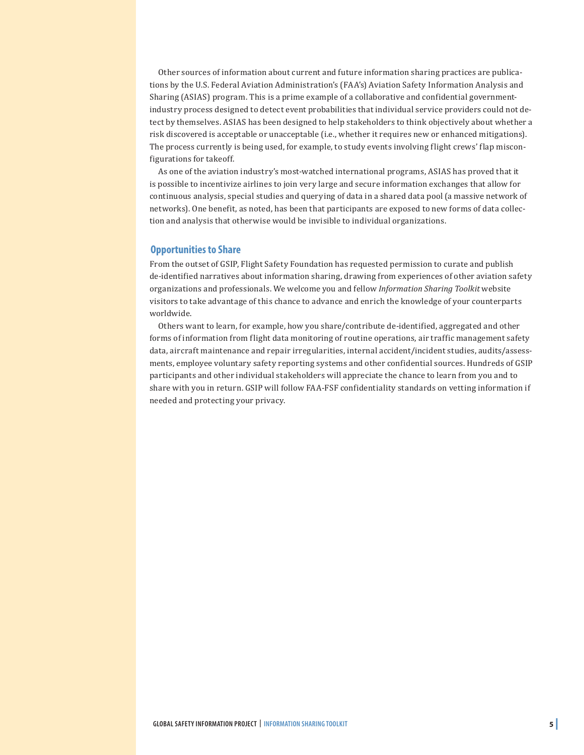Other sources of information about current and future information sharing practices are publications by the U.S. Federal Aviation Administration's (FAA's) Aviation Safety Information Analysis and Sharing (ASIAS) program. This is a prime example of a collaborative and confidential governmentindustry process designed to detect event probabilities that individual service providers could not detect by themselves. ASIAS has been designed to help stakeholders to think objectively about whether a risk discovered is acceptable or unacceptable (i.e., whether it requires new or enhanced mitigations). The process currently is being used, for example, to study events involving flight crews' flap misconfigurations for takeoff.

As one of the aviation industry's most-watched international programs, ASIAS has proved that it is possible to incentivize airlines to join very large and secure information exchanges that allow for continuous analysis, special studies and querying of data in a shared data pool (a massive network of networks). One benefit, as noted, has been that participants are exposed to new forms of data collection and analysis that otherwise would be invisible to individual organizations.

#### **Opportunities to Share**

From the outset of GSIP, Flight Safety Foundation has requested permission to curate and publish de-identified narratives about information sharing, drawing from experiences of other aviation safety organizations and professionals. We welcome you and fellow *Information Sharing Toolkit* website visitors to take advantage of this chance to advance and enrich the knowledge of your counterparts worldwide.

Others want to learn, for example, how you share/contribute de-identified, aggregated and other forms of information from flight data monitoring of routine operations, air traffic management safety data, aircraft maintenance and repair irregularities, internal accident/incident studies, audits/assessments, employee voluntary safety reporting systems and other confidential sources. Hundreds of GSIP participants and other individual stakeholders will appreciate the chance to learn from you and to share with you in return. GSIP will follow FAA-FSF confidentiality standards on vetting information if needed and protecting your privacy.